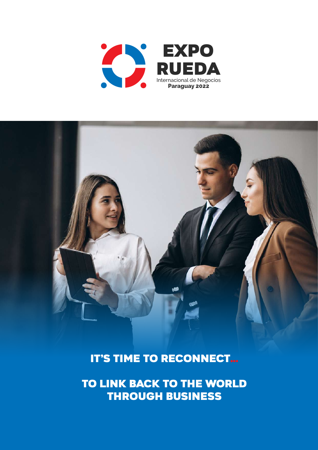

it's time to reconnect…

to link back to the world through business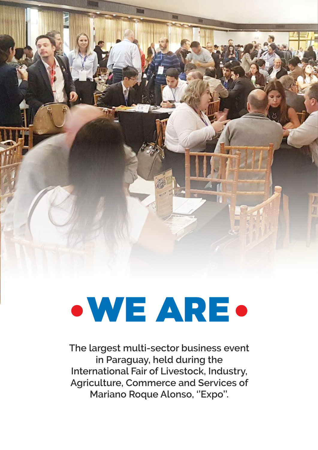

## WE ARE

**The largest multi-sector business event in Paraguay, held during the International Fair of Livestock, Industry, Agriculture, Commerce and Services of Mariano Roque Alonso, ''Expo''.**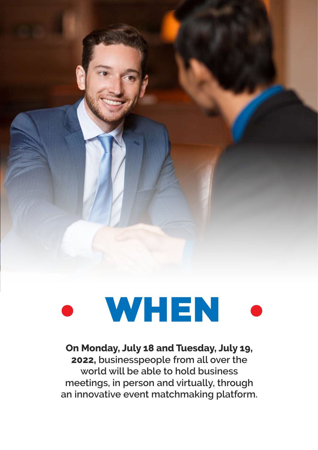

# WHEN

**On Monday, July 18 and Tuesday, July 19, 2022, businesspeople from all over the world will be able to hold business meetings, in person and virtually, through an innovative event matchmaking platform.**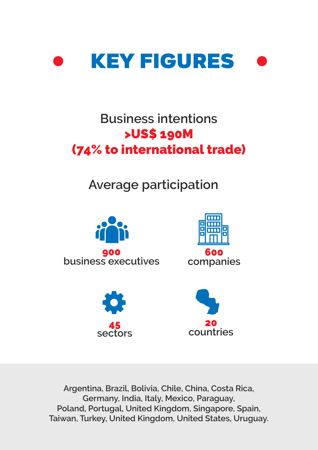

#### **Business intentions** >US\$ 190M (74% to international trade)

#### **Average participation**



**Argentina, Brazil, Bolivia, Chile, China, Costa Rica, Germany, India, Italy, Mexico, Paraguay, Poland, Portugal, United Kingdom, Singapore, Spain, Taiwan, Turkey, United Kingdom, United States, Uruguay.**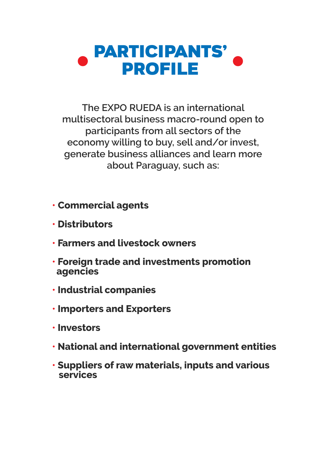

**The EXPO RUEDA is an international multisectoral business macro-round open to participants from all sectors of the economy willing to buy, sell and/or invest, generate business alliances and learn more about Paraguay, such as:**

- **Commercial agents**
- **• Distributors**
- **• Farmers and livestock owners**
- **• Foreign trade and investments promotion agencies**
- **• Industrial companies**
- **• Importers and Exporters**
- **• Investors**
- **• National and international government entities**
- **• Suppliers of raw materials, inputs and various services**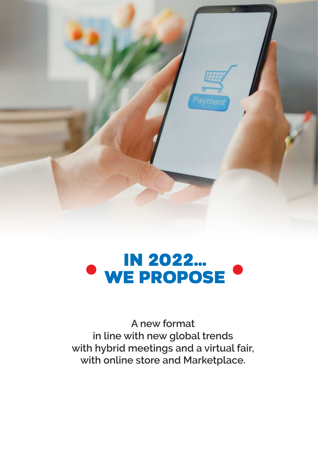

### IN 2022... WE PROPOSE

**A new format in line with new global trends with hybrid meetings and a virtual fair, with online store and Marketplace.**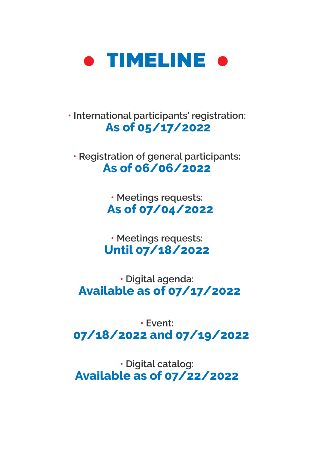

**• International participants' registration: As of 05/17/2022**

**• Registration of general participants: As of 06/06/2022**

> **• Meetings requests: As of 07/04/2022**

**• Meetings requests: Until 07/18/2022**

**• Digital agenda: Available as of 07/17/2022**

**• Event: 07/18/2022 and 07/19/2022**

**• Digital catalog: Available as of 07/22/2022**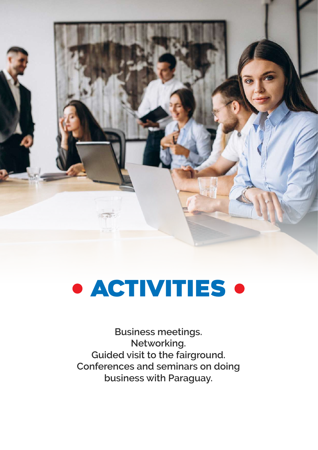

### **• ACTIVITIES •**

**Business meetings. Networking. Guided visit to the fairground. Conferences and seminars on doing business with Paraguay.**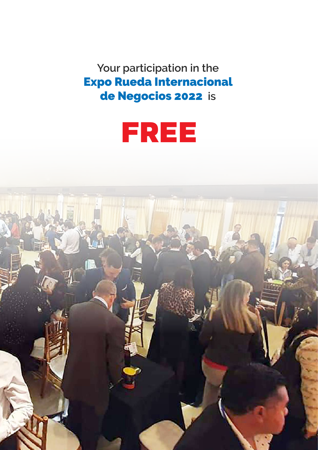**Your participation in the** Expo Rueda Internacional de Negocios 2022 **is**



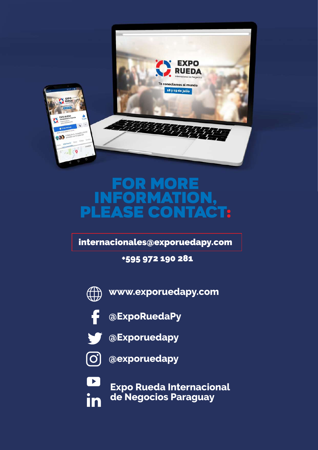

#### For more information, please contact:

internacionales@exporuedapy.com

+595 972 190 281



**www.exporuedapy.com**



**@ExpoRuedaPy**



**@Exporuedapy**



 $\boxed{\phantom{1}}$ 

in

**@exporuedapy**

**Expo Rueda Internacional de Negocios Paraguay**